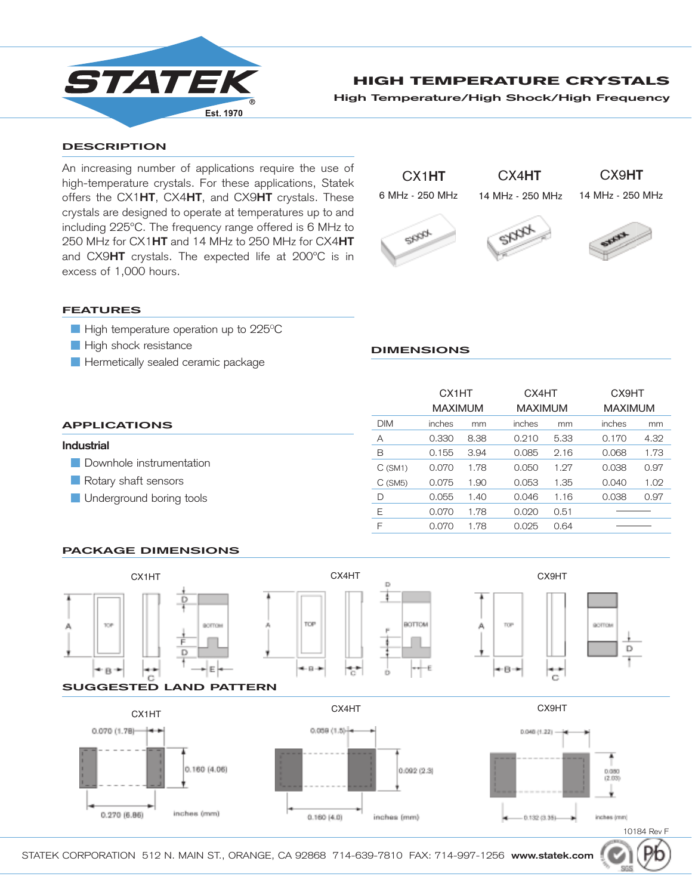

# HIGH TEMPERATURE CRYSTALS

**High Temperature/High Shock/High Frequency**

#### **DESCRIPTION**

An increasing number of applications require the use of high-temperature crystals. For these applications, Statek offers the CX1**HT**, CX4**HT**, and CX9**HT** crystals. These crystals are designed to operate at temperatures up to and including 225ºC. The frequency range offered is 6 MHz to 250 MHz for CX1**HT** and 14 MHz to 250 MHz for CX4**HT** and CX9**HT** crystals. The expected life at 200ºC is in excess of 1,000 hours.



#### **FEATURES**

- High temperature operation up to 225 $\mathrm{^{\circ}C}$
- **High shock resistance**
- **Hermetically sealed ceramic package**

## **DIMENSIONS**

|                          |            | CX1HT<br><b>MAXIMUM</b> |      | CX4HT<br><b>MAXIMUM</b> |      | CX9HT<br><b>MAXIMUM</b> |      |
|--------------------------|------------|-------------------------|------|-------------------------|------|-------------------------|------|
| <b>APPLICATIONS</b>      | <b>DIM</b> | inches                  | mm   | inches                  | mm   | inches                  | mm   |
| <b>Industrial</b>        | Α          | 0.330                   | 8.38 | 0.210                   | 5.33 | 0.170                   | 4.32 |
|                          | B          | 0.155                   | 3.94 | 0.085                   | 2.16 | 0.068                   | 1.73 |
| Downhole instrumentation | C(SM1)     | 0.070                   | 1.78 | 0.050                   | 1.27 | 0.038                   | 0.97 |
| Rotary shaft sensors     | $C$ (SM5)  | 0.075                   | .90  | 0.053                   | 1.35 | 0.040                   | 1.02 |
| Underground boring tools | D          | 0.055                   | .40  | 0.046                   | 1.16 | 0.038                   | 0.97 |
|                          | Ε          | 0.070                   | .78  | 0.020                   | 0.51 |                         |      |
|                          | F          | 0.070                   | .78  | 0.025                   | 0.64 |                         |      |

#### **PACKAGE DIMENSIONS**